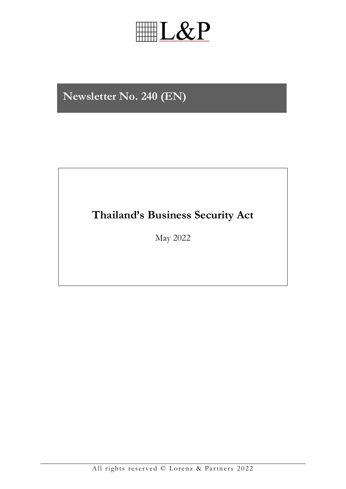# **IL&P**

### Newsletter No. 240 (EN)

### Thailand's Business Security Act

May 2022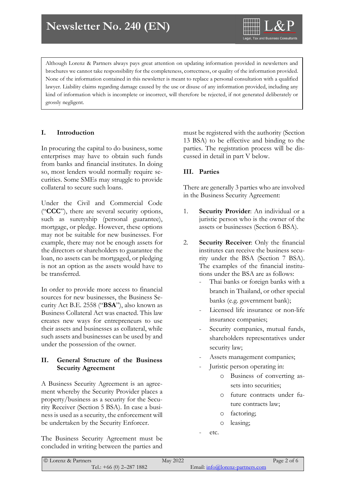

Although Lorenz & Partners always pays great attention on updating information provided in newsletters and brochures we cannot take responsibility for the completeness, correctness, or quality of the information provided. None of the information contained in this newsletter is meant to replace a personal consultation with a qualified lawyer. Liability claims regarding damage caused by the use or disuse of any information provided, including any kind of information which is incomplete or incorrect, will therefore be rejected, if not generated deliberately or grossly negligent.

#### **I. Introduction**

In procuring the capital to do business, some enterprises may have to obtain such funds from banks and financial institutes. In doing so, most lenders would normally require securities. Some SMEs may struggle to provide collateral to secure such loans.

Under the Civil and Commercial Code ("**CCC**"), there are several security options, such as suretyship (personal guarantee), mortgage, or pledge. However, these options may not be suitable for new businesses. For example, there may not be enough assets for the directors or shareholders to guarantee the loan, no assets can be mortgaged, or pledging is not an option as the assets would have to be transferred.

In order to provide more access to financial sources for new businesses, the Business Security Act B.E. 2558 ("**BSA**"), also known as Business Collateral Act was enacted. This law creates new ways for entrepreneurs to use their assets and businesses as collateral, while such assets and businesses can be used by and under the possession of the owner.

#### **II. General Structure of the Business Security Agreement**

A Business Security Agreement is an agreement whereby the Security Provider places a property/business as a security for the Security Receiver (Section 5 BSA). In case a business is used as a security, the enforcement will be undertaken by the Security Enforcer.

The Business Security Agreement must be concluded in writing between the parties and must be registered with the authority (Section 13 BSA) to be effective and binding to the parties. The registration process will be discussed in detail in part V below.

#### **III. Parties**

There are generally 3 parties who are involved in the Business Security Agreement:

- 1. **Security Provider**: An individual or a juristic person who is the owner of the assets or businesses (Section 6 BSA).
- 2. **Security Receiver**: Only the financial institutes can receive the business security under the BSA (Section 7 BSA). The examples of the financial institutions under the BSA are as follows:
	- Thai banks or foreign banks with a branch in Thailand, or other special banks (e.g. government bank);
	- Licensed life insurance or non-life insurance companies;
	- Security companies, mutual funds, shareholders representatives under security law;
	- Assets management companies;
	- Juristic person operating in:
		- o Business of converting assets into securities;
		- o future contracts under future contracts law;
		- o factoring;
		- o leasing;
	- etc.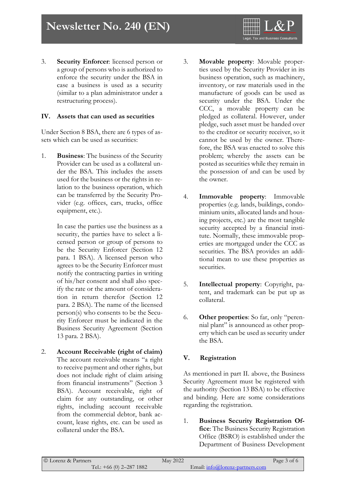3. **Security Enforcer**: licensed person or a group of persons who is authorized to enforce the security under the BSA in case a business is used as a security (similar to a plan administrator under a restructuring process).

#### **IV. Assets that can used as securities**

Under Section 8 BSA, there are 6 types of assets which can be used as securities:

1. **Business**: The business of the Security Provider can be used as a collateral under the BSA. This includes the assets used for the business or the rights in relation to the business operation, which can be transferred by the Security Provider (e.g. offices, cars, trucks, office equipment, etc.).

> In case the parties use the business as a security, the parties have to select a licensed person or group of persons to be the Security Enforcer (Section 12 para. 1 BSA). A licensed person who agrees to be the Security Enforcer must notify the contracting parties in writing of his/her consent and shall also specify the rate or the amount of consideration in return therefor (Section 12 para. 2 BSA). The name of the licensed person(s) who consents to be the Security Enforcer must be indicated in the Business Security Agreement (Section 13 para. 2 BSA).

2. **Account Receivable (right of claim)** The account receivable means "a right to receive payment and other rights, but does not include right of claim arising from financial instruments" (Section 3 BSA). Account receivable, right of claim for any outstanding, or other rights, including account receivable from the commercial debtor, bank account, lease rights, etc. can be used as collateral under the BSA.

3. **Movable property**: Movable properties used by the Security Provider in its business operation, such as machinery, inventory, or raw materials used in the manufacture of goods can be used as security under the BSA. Under the CCC, a movable property can be pledged as collateral. However, under pledge, such asset must be handed over to the creditor or security receiver, so it cannot be used by the owner. Therefore, the BSA was enacted to solve this problem; whereby the assets can be posted as securities while they remain in the possession of and can be used by the owner.

- 4. **Immovable property**: Immovable properties (e.g. lands, buildings, condominium units, allocated lands and housing projects, etc.) are the most tangible security accepted by a financial institute. Normally, these immovable properties are mortgaged under the CCC as securities. The BSA provides an additional mean to use these properties as securities.
- 5. **Intellectual property**: Copyright, patent, and trademark can be put up as collateral.
- 6. **Other properties**: So far, only "perennial plant" is announced as other property which can be used as security under the BSA.

#### **V. Registration**

As mentioned in part II. above, the Business Security Agreement must be registered with the authority (Section 13 BSA) to be effective and binding. Here are some considerations regarding the registration.

1. **Business Security Registration Office**: The Business Security Registration Office (BSRO) is established under the Department of Business Development

| © Lorenz & Partners        | May 2022 |                                 | Page 3 of 6 |
|----------------------------|----------|---------------------------------|-------------|
| Tel.: $+66$ (0) 2-287 1882 |          | Email: info@lorenz-partners.com |             |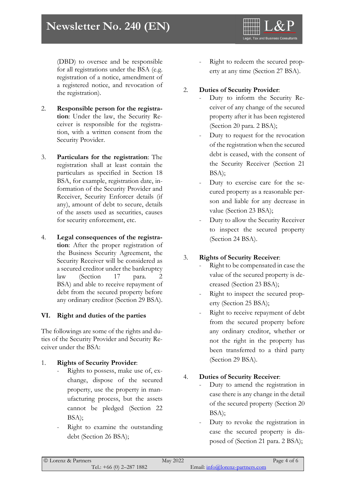## **Newsletter No. 193 (EN) Newsletter No. 240 (EN)**

(DBD) to oversee and be responsible for all registrations under the BSA (e.g. registration of a notice, amendment of a registered notice, and revocation of the registration).

- 2. **Responsible person for the registration**: Under the law, the Security Receiver is responsible for the registration, with a written consent from the Security Provider.
- 3. **Particulars for the registration**: The registration shall at least contain the particulars as specified in Section 18 BSA, for example, registration date, information of the Security Provider and Receiver, Security Enforcer details (if any), amount of debt to secure, details of the assets used as securities, causes for security enforcement, etc.
- 4. **Legal consequences of the registration**: After the proper registration of the Business Security Agreement, the Security Receiver will be considered as a secured creditor under the bankruptcy law (Section 17 para. 2 BSA) and able to receive repayment of debt from the secured property before any ordinary creditor (Section 29 BSA).

#### **VI. Right and duties of the parties**

The followings are some of the rights and duties of the Security Provider and Security Receiver under the BSA:

#### 1. **Rights of Security Provider**:

- Rights to possess, make use of, exchange, dispose of the secured property, use the property in manufacturing process, but the assets cannot be pledged (Section 22 BSA);
- Right to examine the outstanding debt (Section 26 BSA);

Right to redeem the secured property at any time (Section 27 BSA).

Legal, Tax and Business Co

#### 2. **Duties of Security Provider**:

- Duty to inform the Security Receiver of any change of the secured property after it has been registered (Section 20 para. 2 BSA);
- Duty to request for the revocation of the registration when the secured debt is ceased, with the consent of the Security Receiver (Section 21 BSA);
- Duty to exercise care for the secured property as a reasonable person and liable for any decrease in value (Section 23 BSA);
- Duty to allow the Security Receiver to inspect the secured property (Section 24 BSA).

#### 3. **Rights of Security Receiver**:

- Right to be compensated in case the value of the secured property is decreased (Section 23 BSA);
- Right to inspect the secured property (Section 25 BSA);
- Right to receive repayment of debt from the secured property before any ordinary creditor, whether or not the right in the property has been transferred to a third party (Section 29 BSA).

#### 4. **Duties of Security Receiver**:

- Duty to amend the registration in case there is any change in the detail of the secured property (Section 20 BSA);
- Duty to revoke the registration in case the secured property is disposed of (Section 21 para. 2 BSA);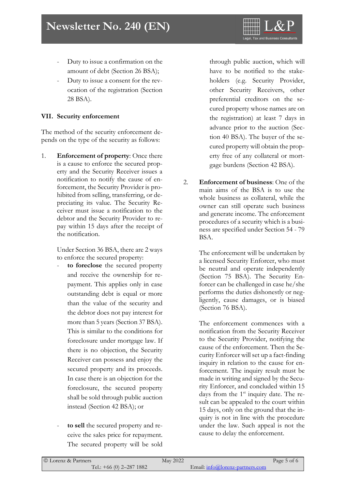- Duty to issue a confirmation on the amount of debt (Section 26 BSA);
- Duty to issue a consent for the revocation of the registration (Section 28 BSA).

#### **VII. Security enforcement**

The method of the security enforcement depends on the type of the security as follows:

1. **Enforcement of property**: Once there is a cause to enforce the secured property and the Security Receiver issues a notification to notify the cause of enforcement, the Security Provider is prohibited from selling, transferring, or depreciating its value. The Security Receiver must issue a notification to the debtor and the Security Provider to repay within 15 days after the receipt of the notification.

> Under Section 36 BSA, there are 2 ways to enforce the secured property:

- to foreclose the secured property and receive the ownership for repayment. This applies only in case outstanding debt is equal or more than the value of the security and the debtor does not pay interest for more than 5 years (Section 37 BSA). This is similar to the conditions for foreclosure under mortgage law. If there is no objection, the Security Receiver can possess and enjoy the secured property and its proceeds. In case there is an objection for the foreclosure, the secured property shall be sold through public auction instead (Section 42 BSA); or
- to sell the secured property and receive the sales price for repayment. The secured property will be sold

through public auction, which will have to be notified to the stakeholders (e.g. Security Provider, other Security Receivers, other preferential creditors on the secured property whose names are on the registration) at least 7 days in advance prior to the auction (Section 40 BSA). The buyer of the secured property will obtain the property free of any collateral or mortgage burdens (Section 42 BSA).

**Legal, Tax and Business Cor** 

2. **Enforcement of business**: One of the main aims of the BSA is to use the whole business as collateral, while the owner can still operate such business and generate income. The enforcement procedures of a security which is a business are specified under Section 54 - 79 BSA.

> The enforcement will be undertaken by a licensed Security Enforcer, who must be neutral and operate independently (Section 75 BSA). The Security Enforcer can be challenged in case he/she performs the duties dishonestly or negligently, cause damages, or is biased (Section 76 BSA).

> The enforcement commences with a notification from the Security Receiver to the Security Provider, notifying the cause of the enforcement. Then the Security Enforcer will set up a fact-finding inquiry in relation to the cause for enforcement. The inquiry result must be made in writing and signed by the Security Enforcer, and concluded within 15 days from the  $1<sup>st</sup>$  inquiry date. The result can be appealed to the court within 15 days, only on the ground that the inquiry is not in line with the procedure under the law. Such appeal is not the cause to delay the enforcement.